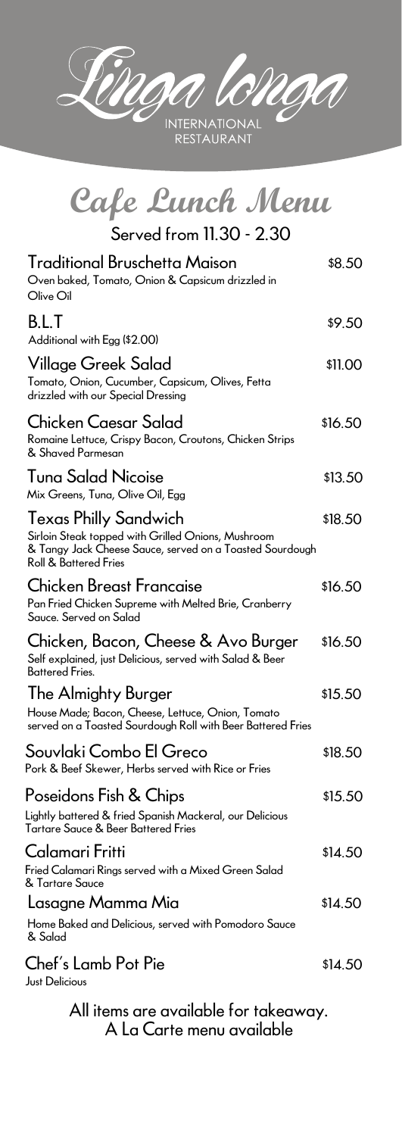### All items are available for takeaway. A La Carte menu available

Home Baked and Delicious, served with Pomodoro Sauce & Salad

#### Chef's Lamb Pot Pie  $$14.50$ Just Delicious

CROCA  $\mathcal{A}$ A **INTERNATIONAL** 

RESTAURANT

| Cafe Lunch Menu                                                                                                                                                                    |         |
|------------------------------------------------------------------------------------------------------------------------------------------------------------------------------------|---------|
| Served from 11.30 - 2.30                                                                                                                                                           |         |
| <b>Traditional Bruschetta Maison</b><br>Oven baked, Tomato, Onion & Capsicum drizzled in<br>Olive Oil                                                                              | \$8.50  |
| B.L.T<br>Additional with Egg (\$2.00)                                                                                                                                              | \$9.50  |
| Village Greek Salad<br>Tomato, Onion, Cucumber, Capsicum, Olives, Fetta<br>drizzled with our Special Dressing                                                                      | \$11.00 |
| Chicken Caesar Salad<br>Romaine Lettuce, Crispy Bacon, Croutons, Chicken Strips<br>& Shaved Parmesan                                                                               | \$16.50 |
| <b>Tuna Salad Nicoise</b><br>Mix Greens, Tuna, Olive Oil, Egg                                                                                                                      | \$13.50 |
| <b>Texas Philly Sandwich</b><br>Sirloin Steak topped with Grilled Onions, Mushroom<br>& Tangy Jack Cheese Sauce, served on a Toasted Sourdough<br><b>Roll &amp; Battered Fries</b> | \$18.50 |
| <b>Chicken Breast Francaise</b><br>Pan Fried Chicken Supreme with Melted Brie, Cranberry<br>Sauce. Served on Salad                                                                 | \$16.50 |
| Chicken, Bacon, Cheese & Avo Burger<br>Self explained, just Delicious, served with Salad & Beer<br><b>Battered Fries.</b>                                                          | \$16.50 |
| The Almighty Burger<br>House Made; Bacon, Cheese, Lettuce, Onion, Tomato<br>served on a Toasted Sourdough Roll with Beer Battered Fries                                            | \$15.50 |
| Souvlaki Combo El Greco<br>Pork & Beef Skewer, Herbs served with Rice or Fries                                                                                                     | \$18.50 |
| Poseidons Fish & Chips<br>Lightly battered & fried Spanish Mackeral, our Delicious<br>Tartare Sauce & Beer Battered Fries                                                          | \$15.50 |

Fried Calamari Rings served with a Mixed Green Salad & Tartare Sauce

# Lasagne Mamma Mia **bilangkang termula dikenali di sebanj**ara 14.50

### Calamari Fritti \$14.50